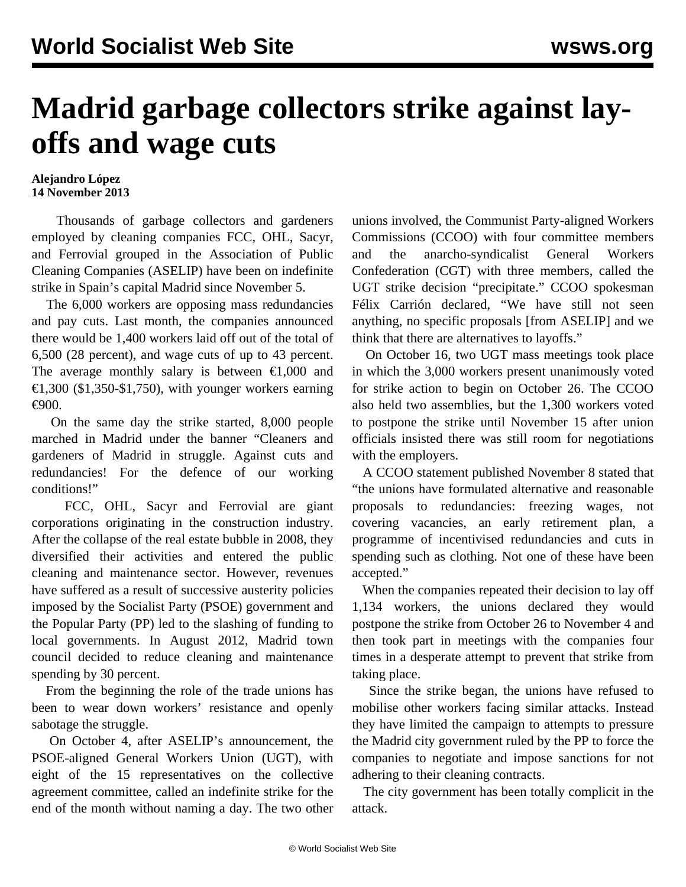## **Madrid garbage collectors strike against layoffs and wage cuts**

## **Alejandro López 14 November 2013**

 Thousands of garbage collectors and gardeners employed by cleaning companies FCC, OHL, Sacyr, and Ferrovial grouped in the Association of Public Cleaning Companies (ASELIP) have been on indefinite strike in Spain's capital Madrid since November 5.

 The 6,000 workers are opposing mass redundancies and pay cuts. Last month, the companies announced there would be 1,400 workers laid off out of the total of 6,500 (28 percent), and wage cuts of up to 43 percent. The average monthly salary is between  $\epsilon 1,000$  and €1,300 (\$1,350-\$1,750), with younger workers earning €900.

 On the same day the strike started, 8,000 people marched in Madrid under the banner "Cleaners and gardeners of Madrid in struggle. Against cuts and redundancies! For the defence of our working conditions!"

 FCC, OHL, Sacyr and Ferrovial are giant corporations originating in the construction industry. After the collapse of the real estate bubble in 2008, they diversified their activities and entered the public cleaning and maintenance sector. However, revenues have suffered as a result of successive austerity policies imposed by the Socialist Party (PSOE) government and the Popular Party (PP) led to the slashing of funding to local governments. In August 2012, Madrid town council decided to reduce cleaning and maintenance spending by 30 percent.

 From the beginning the role of the trade unions has been to wear down workers' resistance and openly sabotage the struggle.

 On October 4, after ASELIP's announcement, the PSOE-aligned General Workers Union (UGT), with eight of the 15 representatives on the collective agreement committee, called an indefinite strike for the end of the month without naming a day. The two other unions involved, the Communist Party-aligned Workers Commissions (CCOO) with four committee members and the anarcho-syndicalist General Workers Confederation (CGT) with three members, called the UGT strike decision "precipitate." CCOO spokesman Félix Carrión declared, "We have still not seen anything, no specific proposals [from ASELIP] and we think that there are alternatives to layoffs."

 On October 16, two UGT mass meetings took place in which the 3,000 workers present unanimously voted for strike action to begin on October 26. The CCOO also held two assemblies, but the 1,300 workers voted to postpone the strike until November 15 after union officials insisted there was still room for negotiations with the employers.

 A CCOO statement published November 8 stated that "the unions have formulated alternative and reasonable proposals to redundancies: freezing wages, not covering vacancies, an early retirement plan, a programme of incentivised redundancies and cuts in spending such as clothing. Not one of these have been accepted."

 When the companies repeated their decision to lay off 1,134 workers, the unions declared they would postpone the strike from October 26 to November 4 and then took part in meetings with the companies four times in a desperate attempt to prevent that strike from taking place.

 Since the strike began, the unions have refused to mobilise other workers facing similar attacks. Instead they have limited the campaign to attempts to pressure the Madrid city government ruled by the PP to force the companies to negotiate and impose sanctions for not adhering to their cleaning contracts.

 The city government has been totally complicit in the attack.